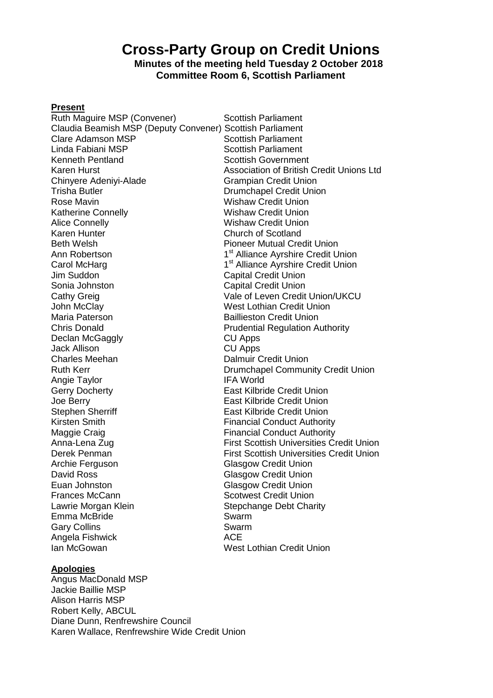# **Cross-Party Group on Credit Unions**

# **Minutes of the meeting held Tuesday 2 October 2018 Committee Room 6, Scottish Parliament**

# **Present**

Ruth Maguire MSP (Convener) Scottish Parliament Claudia Beamish MSP (Deputy Convener) Scottish Parliament Clare Adamson MSP<br>
Linda Fabiani MSP<br>
Linda Fabiani MSP<br>
Scottish Parliament Linda Fabiani MSP<br>
Kenneth Pentland<br>
Scottish Governmer Kenneth Pentland<br>
Karen Hurst Scottish Government<br>
Karen Hurst Scottish Sasociation of British Chinyere Adeniyi-Alade Grampian Credit Union Trisha Butler Drumchapel Credit Union Rose Mavin North Wishaw Credit Union Katherine Connelly<br>
Alice Connelly<br>
Alice Connelly<br>
Wishaw Credit Union Alice Connelly Wishaw Credit Union Karen Hunter **Church of Scotland**<br>
Reth Welsh **Church of Scotland**<br>
Pioneer Mutual Cre Ann Robertson 1 Carol McHarg 1 Jim Suddon Capital Credit Union Sonia Johnston Capital Credit Union Cathy Greig Cathy Greig Cathy Green Credit Union/UKCU John McClay<br>
Maria Paterson<br>
Maria Paterson<br>
Maria Paterson Chris Donald Prudential Regulation Authority Declan McGaggly **CU Apps** Jack Allison CU Apps **Charles Meehan** Dalmuir Credit Union Angie Taylor **IFA World** Gerry Docherty **East Kilbride Credit Union** Joe Berry East Kilbride Credit Union Stephen Sherriff East Kilbride Credit Union<br>
Kirsten Smith Financial Conduct Authori Maggie Craig **Financial Conduct Authority** Archie Ferguson Glasgow Credit Union David Ross **Glasgow Credit Union** Euan Johnston **Glasgow Credit Union** Frances McCann Scotwest Credit Union Lawrie Morgan Klein **Stepchange Debt Charity** Emma McBride Swarm Gary Collins **Swarm** Angela Fishwick **ACE** Ian McGowan West Lothian Credit Union

Association of British Credit Unions Ltd Pioneer Mutual Credit Union 1<sup>st</sup> Alliance Ayrshire Credit Union 1<sup>st</sup> Alliance Ayrshire Credit Union **Baillieston Credit Union** Ruth Kerr Drumchapel Community Credit Union **Financial Conduct Authority** Anna-Lena Zug **First Scottish Universities Credit Union** Derek Penman First Scottish Universities Credit Union

#### **Apologies**

Angus MacDonald MSP Jackie Baillie MSP Alison Harris MSP Robert Kelly, ABCUL Diane Dunn, Renfrewshire Council Karen Wallace, Renfrewshire Wide Credit Union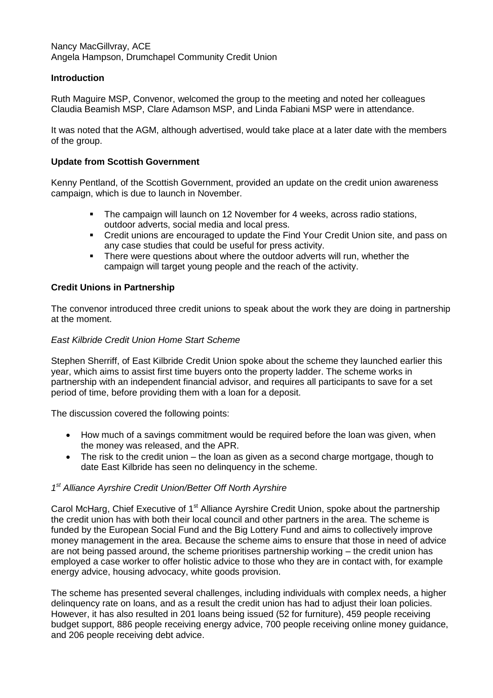Nancy MacGillvray, ACE Angela Hampson, Drumchapel Community Credit Union

# **Introduction**

Ruth Maguire MSP, Convenor, welcomed the group to the meeting and noted her colleagues Claudia Beamish MSP, Clare Adamson MSP, and Linda Fabiani MSP were in attendance.

It was noted that the AGM, although advertised, would take place at a later date with the members of the group.

#### **Update from Scottish Government**

Kenny Pentland, of the Scottish Government, provided an update on the credit union awareness campaign, which is due to launch in November.

- The campaign will launch on 12 November for 4 weeks, across radio stations, outdoor adverts, social media and local press.
- Credit unions are encouraged to update the Find Your Credit Union site, and pass on any case studies that could be useful for press activity.
- There were questions about where the outdoor adverts will run, whether the campaign will target young people and the reach of the activity.

## **Credit Unions in Partnership**

The convenor introduced three credit unions to speak about the work they are doing in partnership at the moment.

#### *East Kilbride Credit Union Home Start Scheme*

Stephen Sherriff, of East Kilbride Credit Union spoke about the scheme they launched earlier this year, which aims to assist first time buyers onto the property ladder. The scheme works in partnership with an independent financial advisor, and requires all participants to save for a set period of time, before providing them with a loan for a deposit.

The discussion covered the following points:

- How much of a savings commitment would be required before the loan was given, when the money was released, and the APR.
- The risk to the credit union the loan as given as a second charge mortgage, though to date East Kilbride has seen no delinquency in the scheme.

## *1 st Alliance Ayrshire Credit Union/Better Off North Ayrshire*

Carol McHarg, Chief Executive of 1<sup>st</sup> Alliance Ayrshire Credit Union, spoke about the partnership the credit union has with both their local council and other partners in the area. The scheme is funded by the European Social Fund and the Big Lottery Fund and aims to collectively improve money management in the area. Because the scheme aims to ensure that those in need of advice are not being passed around, the scheme prioritises partnership working – the credit union has employed a case worker to offer holistic advice to those who they are in contact with, for example energy advice, housing advocacy, white goods provision.

The scheme has presented several challenges, including individuals with complex needs, a higher delinquency rate on loans, and as a result the credit union has had to adjust their loan policies. However, it has also resulted in 201 loans being issued (52 for furniture), 459 people receiving budget support, 886 people receiving energy advice, 700 people receiving online money guidance, and 206 people receiving debt advice.